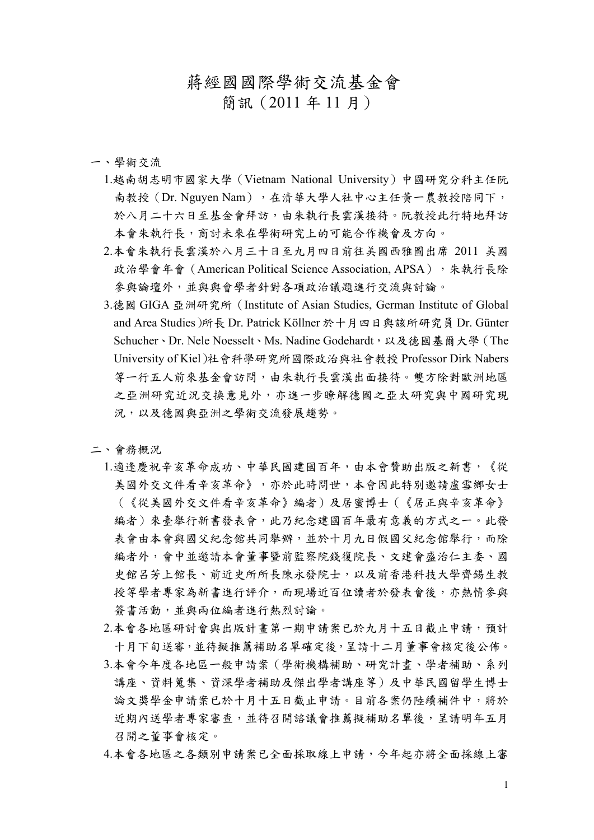## 蔣經國國際學術交流基金會

簡訊(2011 年 11 月)

## 一、學術交流

- 1.越南胡志明市國家大學(Vietnam National University)中國研究分科主任阮 南教授(Dr. Nguyen Nam),在清華大學人社中心主任黃一農教授陪同下, 於八月二十六日至基金會拜訪,由朱執行長雲漢接待。阮教授此行特地拜訪 本會朱執行長,商討未來在學術研究上的可能合作機會及方向。
- 2.本會朱執行長雲漢於八月三十日至九月四日前往美國西雅圖出席 2011 美國 政治學會年會 (American Political Science Association, APSA),朱執行長除 參與論壇外,並與與會學者針對各項政治議題進行交流與討論。
- 3.德國 GIGA 亞洲研究所(Institute of Asian Studies, German Institute of Global and Area Studies)所長 Dr. Patrick Köllner 於十月四日與該所研究員 Dr. Günter Schucher、Dr. Nele Noesselt、Ms. Nadine Godehardt,以及德國基爾大學(The University of Kiel)社會科學研究所國際政治與社會教授 Professor Dirk Nabers 等ㄧ行五人前來基金會訪問,由朱執行長雲漢出面接待。雙方除對歐洲地區 之亞洲研究近況交換意見外,亦進一步瞭解德國之亞太研究與中國研究現 況,以及德國與亞洲之學術交流發展趨勢。

## 二、會務概況

- 1.適逢慶祝辛亥革命成功、中華民國建國百年,由本會贊助出版之新書,《從 美國外交文件看辛亥革命》,亦於此時問世,本會因此特別邀請盧雪鄉女士 (《從美國外交文件看辛亥革命》編者)及居蜜博士(《居正與辛亥革命》 編者)來臺舉行新書發表會,此乃紀念建國百年最有意義的方式之一。此發 表會由本會與國父紀念館共同舉辦,並於十月九日假國父紀念館舉行,而除 編者外,會中並邀請本會董事暨前監察院錢復院長、文建會盛治仁主委、國 史館呂芳上館長、前近史所所長陳永發院士,以及前香港科技大學齊錫生教 授等學者專家為新書進行評介,而現場近百位讀者於發表會後,亦熱情參與 簽書活動,並與兩位編者進行熱烈討論。
- 2.本會各地區研討會與出版計畫第一期申請案已於九月十五日截止申請,預計 十月下旬送審,並待擬推薦補助名單確定後,呈請十二月董事會核定後公佈。
- 3.本會今年度各地區ㄧ般申請案(學術機構補助、研究計畫、學者補助、系列 講座、資料蒐集、資深學者補助及傑出學者講座等)及中華民國留學生博士 論文獎學金申請案已於十月十五日截止申請。目前各案仍陸續補件中,將於 近期內送學者專家審查,並待召開諮議會推薦擬補助名單後,呈請明年五月 召開之董事會核定。
- 4.本會各地區之各類別申請案已全面採取線上申請,今年起亦將全面採線上審

1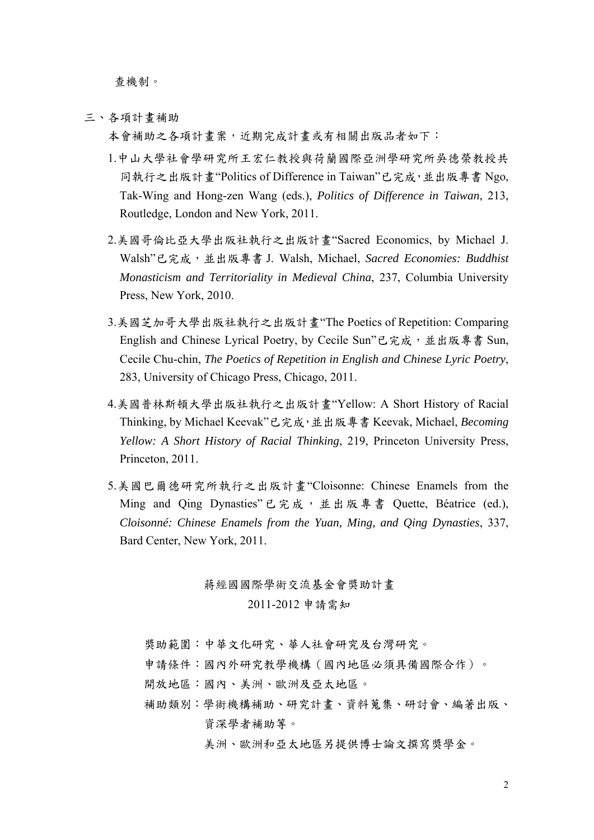查機制。

三、各項計畫補助

本會補助之各項計畫案,近期完成計畫或有相關出版品者如下:

- 1.中山大學社會學研究所王宏仁教授與荷蘭國際亞洲學研究所吳德榮教授共 同執行之出版計畫"Politics of Difference in Taiwan"已完成,並出版專書 Ngo, Tak-Wing and Hong-zen Wang (eds.), *Politics of Difference in Taiwan*, 213, Routledge, London and New York, 2011.
- 2.美國哥倫比亞大學出版社執行之出版計畫"Sacred Economics, by Michael J. Walsh"已完成,並出版專書 J. Walsh, Michael, *Sacred Economies: Buddhist Monasticism and Territoriality in Medieval China*, 237, Columbia University Press, New York, 2010.
- 3.美國芝加哥大學出版社執行之出版計畫"The Poetics of Repetition: Comparing English and Chinese Lyrical Poetry, by Cecile Sun"已完成, 並出版專書 Sun, Cecile Chu-chin, *The Poetics of Repetition in English and Chinese Lyric Poetry*, 283, University of Chicago Press, Chicago, 2011.
- 4.美國普林斯頓大學出版社執行之出版計畫"Yellow: A Short History of Racial Thinking, by Michael Keevak"已完成,並出版專書 Keevak, Michael, *Becoming Yellow: A Short History of Racial Thinking*, 219, Princeton University Press, Princeton, 2011.
- 5.美國巴爾德研究所執行之出版計畫"Cloisonne: Chinese Enamels from the Ming and Qing Dynasties"已完成, 並出版專書 Quette, Béatrice (ed.), *Cloisonné: Chinese Enamels from the Yuan, Ming, and Qing Dynasties*, 337, Bard Center, New York, 2011.

## 蔣經國國際學術交流基金會獎助計畫 2011-2012 申請需知

- 獎助範圍:中華文化研究、華人社會研究及台灣研究。
- 申請條件:國內外研究教學機構(國內地區必須具備國際合作)。
- 開放地區:國內、美洲、歐洲及亞太地區。
- 補助類別:學術機構補助、研究計畫、資料蒐集、研討會、編著出版、 資深學者補助等。

美洲、歐洲和亞太地區另提供博士論文撰寫獎學金。